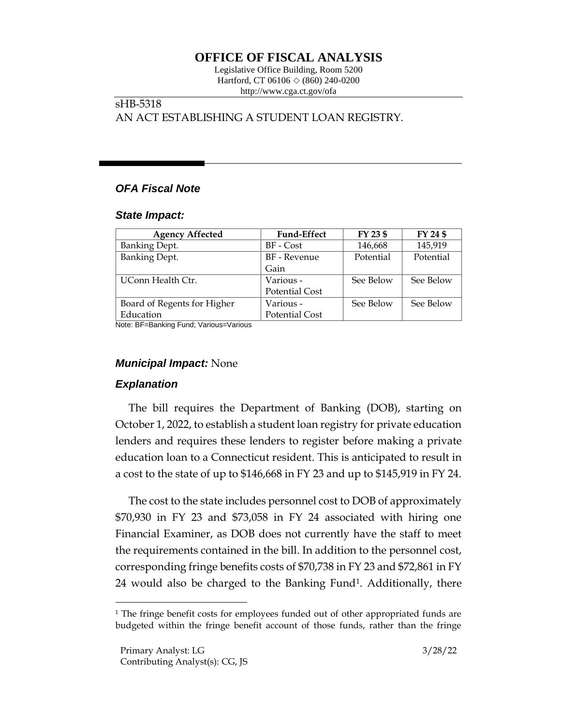# **OFFICE OF FISCAL ANALYSIS**

Legislative Office Building, Room 5200 Hartford, CT 06106  $\Diamond$  (860) 240-0200 http://www.cga.ct.gov/ofa

# sHB-5318 AN ACT ESTABLISHING A STUDENT LOAN REGISTRY.

# *OFA Fiscal Note*

#### *State Impact:*

| <b>Agency Affected</b>      | <b>Fund-Effect</b>    | FY 23 \$  | FY 24 \$  |
|-----------------------------|-----------------------|-----------|-----------|
| <b>Banking Dept.</b>        | BF - Cost             | 146,668   | 145,919   |
| <b>Banking Dept.</b>        | BF - Revenue          | Potential | Potential |
|                             | Gain                  |           |           |
| UConn Health Ctr.           | Various -             | See Below | See Below |
|                             | <b>Potential Cost</b> |           |           |
| Board of Regents for Higher | Various -             | See Below | See Below |
| Education                   | <b>Potential Cost</b> |           |           |

Note: BF=Banking Fund; Various=Various

### *Municipal Impact:* None

### *Explanation*

The bill requires the Department of Banking (DOB), starting on October 1, 2022, to establish a student loan registry for private education lenders and requires these lenders to register before making a private education loan to a Connecticut resident. This is anticipated to result in a cost to the state of up to \$146,668 in FY 23 and up to \$145,919 in FY 24.

The cost to the state includes personnel cost to DOB of approximately \$70,930 in FY 23 and \$73,058 in FY 24 associated with hiring one Financial Examiner, as DOB does not currently have the staff to meet the requirements contained in the bill. In addition to the personnel cost, corresponding fringe benefits costs of \$70,738 in FY 23 and \$72,861 in FY 24 would also be charged to the Banking Fund<sup>1</sup>. Additionally, there

<sup>&</sup>lt;sup>1</sup> The fringe benefit costs for employees funded out of other appropriated funds are budgeted within the fringe benefit account of those funds, rather than the fringe